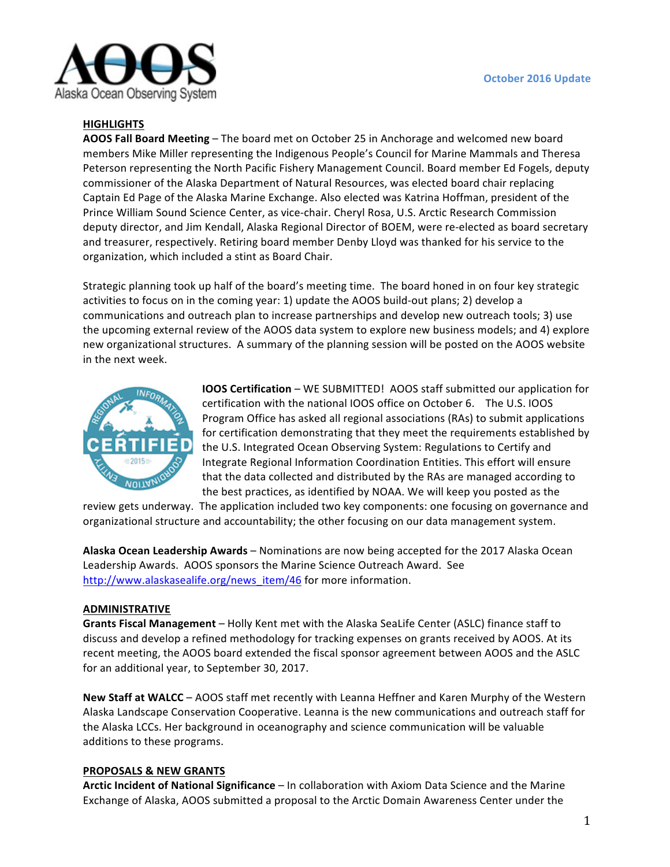

## **HIGHLIGHTS**

**AOOS Fall Board Meeting** – The board met on October 25 in Anchorage and welcomed new board members Mike Miller representing the Indigenous People's Council for Marine Mammals and Theresa Peterson representing the North Pacific Fishery Management Council. Board member Ed Fogels, deputy commissioner of the Alaska Department of Natural Resources, was elected board chair replacing Captain Ed Page of the Alaska Marine Exchange. Also elected was Katrina Hoffman, president of the Prince William Sound Science Center, as vice-chair. Cheryl Rosa, U.S. Arctic Research Commission deputy director, and Jim Kendall, Alaska Regional Director of BOEM, were re-elected as board secretary and treasurer, respectively. Retiring board member Denby Lloyd was thanked for his service to the organization, which included a stint as Board Chair.

Strategic planning took up half of the board's meeting time. The board honed in on four key strategic activities to focus on in the coming year: 1) update the AOOS build-out plans; 2) develop a communications and outreach plan to increase partnerships and develop new outreach tools; 3) use the upcoming external review of the AOOS data system to explore new business models; and 4) explore new organizational structures. A summary of the planning session will be posted on the AOOS website in the next week.



**IOOS Certification** – WE SUBMITTED! AOOS staff submitted our application for certification with the national IOOS office on October 6. The U.S. IOOS Program Office has asked all regional associations (RAs) to submit applications for certification demonstrating that they meet the requirements established by the U.S. Integrated Ocean Observing System: Regulations to Certify and Integrate Regional Information Coordination Entities. This effort will ensure that the data collected and distributed by the RAs are managed according to the best practices, as identified by NOAA. We will keep you posted as the

review gets underway. The application included two key components: one focusing on governance and organizational structure and accountability; the other focusing on our data management system.

**Alaska Ocean Leadership Awards** – Nominations are now being accepted for the 2017 Alaska Ocean Leadership Awards. AOOS sponsors the Marine Science Outreach Award. See [http://www.alaskasealife.org/news\\_item/46](http://www.alaskasealife.org/news_item/46) for more information.

#### **ADMINISTRATIVE**

**Grants Fiscal Management** – Holly Kent met with the Alaska SeaLife Center (ASLC) finance staff to discuss and develop a refined methodology for tracking expenses on grants received by AOOS. At its recent meeting, the AOOS board extended the fiscal sponsor agreement between AOOS and the ASLC for an additional year, to September 30, 2017.

**New Staff at WALCC** – AOOS staff met recently with Leanna Heffner and Karen Murphy of the Western Alaska Landscape Conservation Cooperative. Leanna is the new communications and outreach staff for the Alaska LCCs. Her background in oceanography and science communication will be valuable additions to these programs.

## **PROPOSALS & NEW GRANTS**

**Arctic Incident of National Significance** – In collaboration with Axiom Data Science and the Marine Exchange of Alaska, AOOS submitted a proposal to the Arctic Domain Awareness Center under the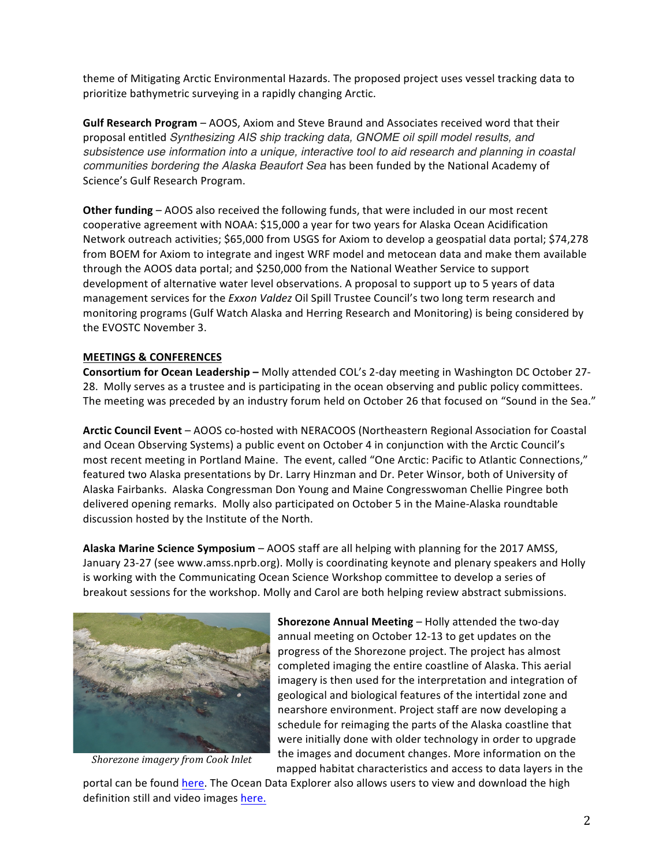theme of Mitigating Arctic Environmental Hazards. The proposed project uses vessel tracking data to prioritize bathymetric surveying in a rapidly changing Arctic.

**Gulf Research Program** – AOOS, Axiom and Steve Braund and Associates received word that their proposal entitled *Synthesizing AIS ship tracking data, GNOME oil spill model results, and subsistence use information into a unique, interactive tool to aid research and planning in coastal communities bordering the Alaska Beaufort Sea* has been funded by the National Academy of Science's Gulf Research Program.

**Other funding** – AOOS also received the following funds, that were included in our most recent cooperative agreement with NOAA: \$15,000 a year for two years for Alaska Ocean Acidification Network outreach activities; \$65,000 from USGS for Axiom to develop a geospatial data portal; \$74,278 from BOEM for Axiom to integrate and ingest WRF model and metocean data and make them available through the AOOS data portal; and \$250,000 from the National Weather Service to support development of alternative water level observations. A proposal to support up to 5 years of data management services for the *Exxon Valdez* Oil Spill Trustee Council's two long term research and monitoring programs (Gulf Watch Alaska and Herring Research and Monitoring) is being considered by the EVOSTC November 3.

## **MEETINGS & CONFERENCES**

**Consortium for Ocean Leadership -** Molly attended COL's 2-day meeting in Washington DC October 27-28. Molly serves as a trustee and is participating in the ocean observing and public policy committees. The meeting was preceded by an industry forum held on October 26 that focused on "Sound in the Sea."

**Arctic Council Event** – AOOS co-hosted with NERACOOS (Northeastern Regional Association for Coastal and Ocean Observing Systems) a public event on October 4 in conjunction with the Arctic Council's most recent meeting in Portland Maine. The event, called "One Arctic: Pacific to Atlantic Connections," featured two Alaska presentations by Dr. Larry Hinzman and Dr. Peter Winsor, both of University of Alaska Fairbanks. Alaska Congressman Don Young and Maine Congresswoman Chellie Pingree both delivered opening remarks. Molly also participated on October 5 in the Maine-Alaska roundtable discussion hosted by the Institute of the North.

Alaska Marine Science Symposium – AOOS staff are all helping with planning for the 2017 AMSS, January 23-27 (see www.amss.nprb.org). Molly is coordinating keynote and plenary speakers and Holly is working with the Communicating Ocean Science Workshop committee to develop a series of breakout sessions for the workshop. Molly and Carol are both helping review abstract submissions.



*Shorezone imagery from Cook Inlet* 

**Shorezone Annual Meeting** – Holly attended the two-day annual meeting on October 12-13 to get updates on the progress of the Shorezone project. The project has almost completed imaging the entire coastline of Alaska. This aerial imagery is then used for the interpretation and integration of geological and biological features of the intertidal zone and nearshore environment. Project staff are now developing a schedule for reimaging the parts of the Alaska coastline that were initially done with older technology in order to upgrade the images and document changes. More information on the mapped habitat characteristics and access to data layers in the

portal can be found here. The Ocean Data Explorer also allows users to view and download the high definition still and video images here.